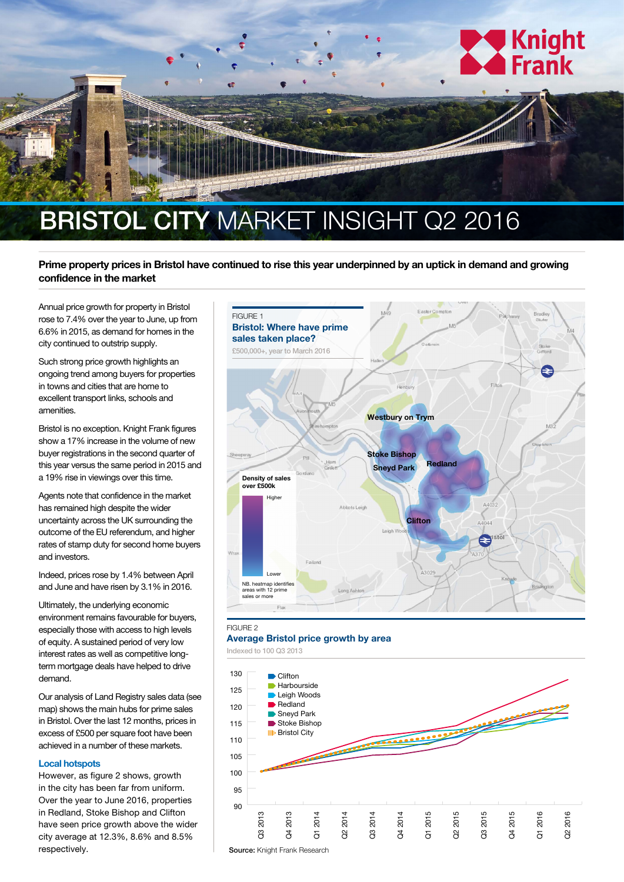

## **Prime property prices in Bristol have continued to rise this year underpinned by an uptick in demand and growing**

**confidence in the market**

Annual price growth for property in Bristol rose to 7.4% over the year to June, up from 6.6% in 2015, as demand for homes in the city continued to outstrip supply.

Such strong price growth highlights an ongoing trend among buyers for properties in towns and cities that are home to excellent transport links, schools and amenities.

Bristol is no exception. Knight Frank figures show a 17% increase in the volume of new buyer registrations in the second quarter of this year versus the same period in 2015 and a 19% rise in viewings over this time.

Agents note that confidence in the market has remained high despite the wider uncertainty across the UK surrounding the outcome of the EU referendum, and higher rates of stamp duty for second home buyers and investors.

Indeed, prices rose by 1.4% between April and June and have risen by 3.1% in 2016.

Ultimately, the underlying economic environment remains favourable for buyers, especially those with access to high levels of equity. A sustained period of very low interest rates as well as competitive longterm mortgage deals have helped to drive demand.

Our analysis of Land Registry sales data (see map) shows the main hubs for prime sales in Bristol. Over the last 12 months, prices in excess of £500 per square foot have been achieved in a number of these markets.

## **Local hotspots**

However, as figure 2 shows, growth in the city has been far from uniform. Over the year to June 2016, properties in Redland, Stoke Bishop and Clifton have seen price growth above the wider city average at 12.3%, 8.6% and 8.5% respectively.



## FIGURE 2

**Average Bristol price growth by area**